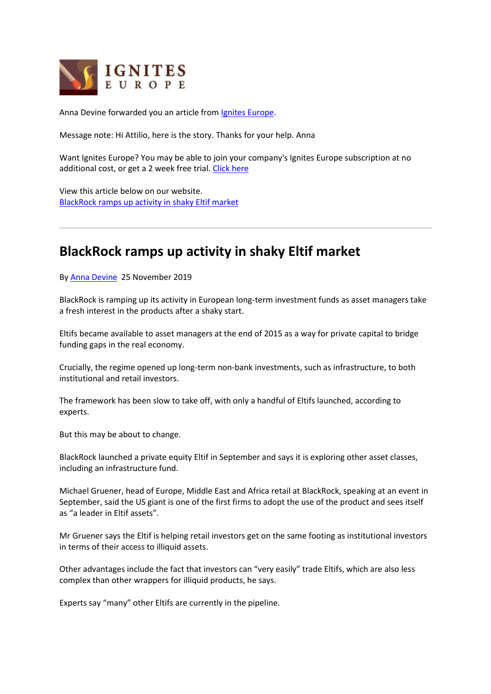

Anna Devine forwarded you an article from [Ignites Europe.](https://www.igniteseurope.com/)

Message note: Hi Attilio, here is the story. Thanks for your help. Anna

Want Ignites Europe? You may be able to join your company's Ignites Europe subscription at no additional cost, or get a 2 week free trial. [Click here](https://www.igniteseurope.com/trial)

View this article below on our website. [BlackRock ramps up activity in shaky Eltif market](https://www.igniteseurope.com/c/2582933/309913)

## **BlackRock ramps up activity in shaky Eltif market**

By [Anna Devine](https://www.igniteseurope.com/email-contributor/123523/2582933/309913) 25 November 2019

BlackRock is ramping up its activity in European long-term investment funds as asset managers take a fresh interest in the products after a shaky start.

Eltifs became available to asset managers at the end of 2015 as a way for private capital to bridge funding gaps in the real economy.

Crucially, the regime opened up long-term non-bank investments, such as infrastructure, to both institutional and retail investors.

The framework has been slow to take off, with only a handful of Eltifs launched, according to experts.

But this may be about to change.

BlackRock launched a private equity Eltif in September and says it is exploring other asset classes, including an infrastructure fund.

Michael Gruener, head of Europe, Middle East and Africa retail at BlackRock, speaking at an event in September, said the US giant is one of the first firms to adopt the use of the product and sees itself as "a leader in Eltif assets".

Mr Gruener says the Eltif is helping retail investors get on the same footing as institutional investors in terms of their access to illiquid assets.

Other advantages include the fact that investors can "very easily" trade Eltifs, which are also less complex than other wrappers for illiquid products, he says.

Experts say "many" other Eltifs are currently in the pipeline.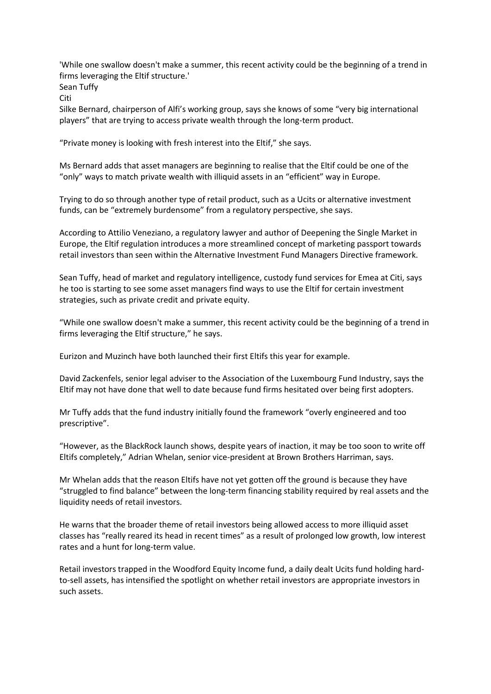'While one swallow doesn't make a summer, this recent activity could be the beginning of a trend in firms leveraging the Eltif structure.'

Sean Tuffy

Citi

Silke Bernard, chairperson of Alfi's working group, says she knows of some "very big international players" that are trying to access private wealth through the long-term product.

"Private money is looking with fresh interest into the Eltif," she says.

Ms Bernard adds that asset managers are beginning to realise that the Eltif could be one of the "only" ways to match private wealth with illiquid assets in an "efficient" way in Europe.

Trying to do so through another type of retail product, such as a Ucits or alternative investment funds, can be "extremely burdensome" from a regulatory perspective, she says.

According to Attilio Veneziano, a regulatory lawyer and author of Deepening the Single Market in Europe, the Eltif regulation introduces a more streamlined concept of marketing passport towards retail investors than seen within the Alternative Investment Fund Managers Directive framework.

Sean Tuffy, head of market and regulatory intelligence, custody fund services for Emea at Citi, says he too is starting to see some asset managers find ways to use the Eltif for certain investment strategies, such as private credit and private equity.

"While one swallow doesn't make a summer, this recent activity could be the beginning of a trend in firms leveraging the Eltif structure," he says.

Eurizon and Muzinch have both launched their first Eltifs this year for example.

David Zackenfels, senior legal adviser to the Association of the Luxembourg Fund Industry, says the Eltif may not have done that well to date because fund firms hesitated over being first adopters.

Mr Tuffy adds that the fund industry initially found the framework "overly engineered and too prescriptive".

"However, as the BlackRock launch shows, despite years of inaction, it may be too soon to write off Eltifs completely," Adrian Whelan, senior vice-president at Brown Brothers Harriman, says.

Mr Whelan adds that the reason Eltifs have not yet gotten off the ground is because they have "struggled to find balance" between the long-term financing stability required by real assets and the liquidity needs of retail investors.

He warns that the broader theme of retail investors being allowed access to more illiquid asset classes has "really reared its head in recent times" as a result of prolonged low growth, low interest rates and a hunt for long-term value.

Retail investors trapped in the Woodford Equity Income fund, a daily dealt Ucits fund holding hardto-sell assets, has intensified the spotlight on whether retail investors are appropriate investors in such assets.